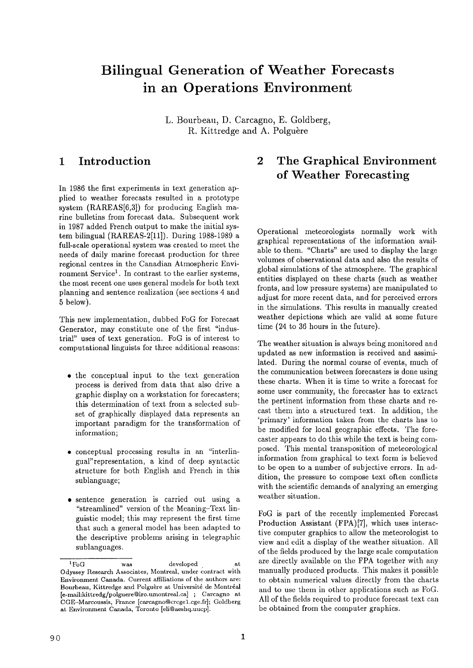# **Bilingual Generation of Weather Forecasts in an Operations Environment**

L. Bourbeau, D. Carcagno, E. Goldberg, R. Kittredge and A. Polguère

### **1 Introduction**

In 1986 the first experiments in text generation applied to weather forecasts resulted in a prototype system  $(RAREAS[6,3])$  for producing English marine bulletins from forecast data. Subsequent work in 1987 added French output to make the initial system bilingual (RAREAS-2[ll]). During 1988-1989 a full-scale operational system was created to meet the needs of daily marine forecast production for three regional centres in the Canadian Atmospheric Environment Service<sup>1</sup>. In contrast to the earlier systems, the most recent one uses general models for both text planning and sentence realization (see sections 4 and 5 below).

This new implementation, dubbed FoG for Forecast Generator, may constitute one of the first "industrial" uses of text generation. FoG is of interest to computational linguists for three additional reasons:

- the conceptual input to the text generation process is derived from data that also drive a graphic display on a workstation for forecasters; this determination of text from a selected subset of graphically displayed data represents an important paradigm for the transformation of information;
- conceptual processing results in an "interlingual" representation, a kind of deep syntactic structure for both English and French in this sublanguage;
- sentence generation is carried out using a "streamlined" version of the Meaning-Text linguistic model; this may represent the first time that such a general model has been adapted to the descriptive problems arising in telegraphic sublanguages.

## **2 The Graphical Environment of Weather Forecasting**

Operational meteorologists normally work with graphical representations of the information available to them. "Charts" are used to display the large volumes of observational data and also the results of global simulations of the atmosphere. The graphical entities displayed on these charts (such as weather fronts, and low pressure systems) are manipulated to adjust for more recent data, and for perceived errors in the simulations. This results in manually created weather depictions which are valid at some future time (24 to 36 hours in the future).

The weather situation is always being monitored and updated as new information is received and assimilated. During the normal course of events, much of the communication between forecasters is done using these charts. When it is time to write a forecast for some user community, the forecaster has to extract the pertinent information from these charts and recast them into a structured text. In addition, the 'primary' information taken from the charts has to be modified for local geographic effects. The forecaster appears to do this while the text is being composed. This mental transposition of meteorological information from graphical to text form is believed to be open to a number of subjective errors. In addition, the pressure to compose text often conflicts with the scientific demands of analyzing an emerging weather situation.

FoG is part of the recently implemented Forecast Production Assistant (FPA)[7], which uses interactive computer graphics to allow the meteorologist to view and edit a display of the weather situation. All of the fields produced by the large scale computation are directly available on the FPA together with any manually produced products. This makes it possible to obtain numerical values directly from the charts and to use them in other applications such as FoG. All of the fields required to produce forecast text can be obtained from the computer graphics.

 ${}^{1}F_{0}G$  was developed at Odyssey Research Associates, Montreal, under contract with Environment Canada. Current affiliations of the authors are: Bourbeau, Kittredge and Polguère at Université de Montréal [e-mail:kittredg/polguere@iro.umontreal.ca] ; Carcagno at CGE-Marcoussis, France [carcagno@crcgel.cge.fr]; Goldberg at Environment Canada, Toronto [eli@aeshq.uucp].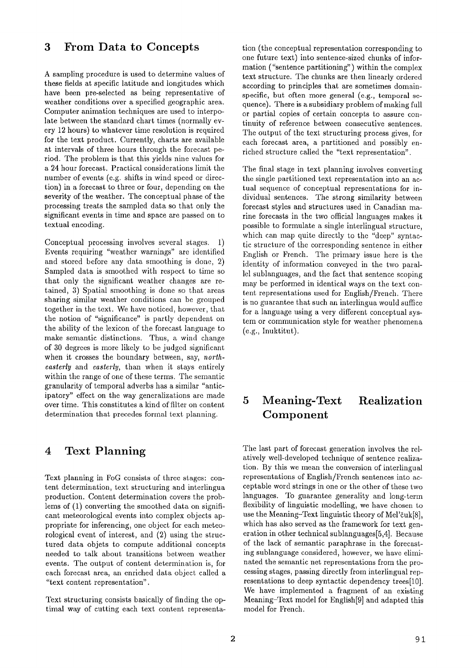#### **3 From Data to Concepts**

A sampling procedure is used to determine values of these fields at specific latitude and longitudes which have been pre-selected as being representative of weather conditions over a specified geographic area. Computer animation techniques are used to interpolate between the standard chart times (normally every 12 hours) to whatever time resolution is required for the text product. Currently, charts are available at intervals of three hours through the forecast period. The problem is that this yields nine values for a 24 hour forecast. Practical considerations limit the number of events (e.g. shifts in wind speed or direction) in a forecast to three or four, depending on the severity of the weather. The conceptual phase of the processing treats the sampled data so that only the significant events in time and space are passed on to textual encoding.

Conceptual processing involves several stages. 1) Events requiring "weather warnings" are identified and stored before any data smoothing is done, 2) Sampled data is smoothed with respect to time so that only the significant weather changes are retained, 3) Spatial smoothing is done so that areas sharing similar weather conditions can be grouped together in the text. We have noticed, however, that the notion of "significance" is partly dependent on the ability of the lexicon of the forecast language to make semantic distinctions. Thus, a wind change of 30 degrees is more likely to be judged significant when it crosses the boundary between, say, *north*easterly and easterly, than when it stays entirely within the range of one of these terms. The semantic granularity of temporal adverbs has a similar "anticipatory" effect on the way generalizations are made over time. This constitutes a kind of filter on content determination that precedes formal text planning.

#### **4 Text Planning**

Text planning in FoG consists of three stages: content determination, text structuring and interlingua production. Content determination covers the problems of (1) converting the smoothed data on significant meteorological events into complex objects appropriate for inferencing, one object for each meteorological event of interest, and (2) using the structured data objets to compute additional concepts needed to talk about transitions between weather events. The output of content determination is, for each forecast area, an enriched data object called a "text content representation".

Text structuring consists basically of finding the optimal way of cutting each text content representa-

tion (the conceptual representation corresponding to one future text) into sentence-sized chunks of information ("sentence partitioning") within the complex text structure. The chunks are then linearly ordered according to principles that are sometimes domainspecific, but often more general (e.g., temporal sequence). There is a subsidiary problem of making full or partial copies of certain concepts to assure continuity of reference between consecutive sentences. The output of the text structuring process gives, for each forecast area, a partitioned and possibly enriched structure called the "text representation".

The final stage in text planning involves converting the single partitioned text representation into an actual sequence of conceptual representations for individual sentences. The strong similarity between forecast styles and structures used in Canadian marine forecasts in the two official languages makes it possible to formulate a single interlingual structure, which can map quite directly to the "deep" syntactic structure of thc corresponding sentence in either English or French. The primary issue here is the identity of information conveyed in the two parallel sublanguages, and the fact that sentence scoping may be performed in identical ways on the text content representations used for English/French. There is no guarantee that such an interlingua would suffice for a language using a very different conceptual system or communication style for weather phenomena (e.g., Inuktitut).

## **5 Meaning-Text Realization Component**

The last part of forecast generation involves the relatively well-developed technique of sentence realization. By this we mean the conversion of interlingual representations of English/French sentences into acceptable word strings in one or the other of these two languages. To guarantee generality and long-term flexibility of linguistic modelling, we have chosen to use the Meaning-Text linguistic theory of Mel'čuk[8], which has also served as the framework for text generation in other technical sublanguages[5,4]. Because of the lack of semantic paraphrase in the forecasting sublanguage considered, however, we have eliminated the semantic net representations from the processing stages, passing directly from interlingual representations to deep syntactic dependency trees[10]. We have implemented a fragment of an existing Meaning-Text model for English[9] and adapted this model for French.